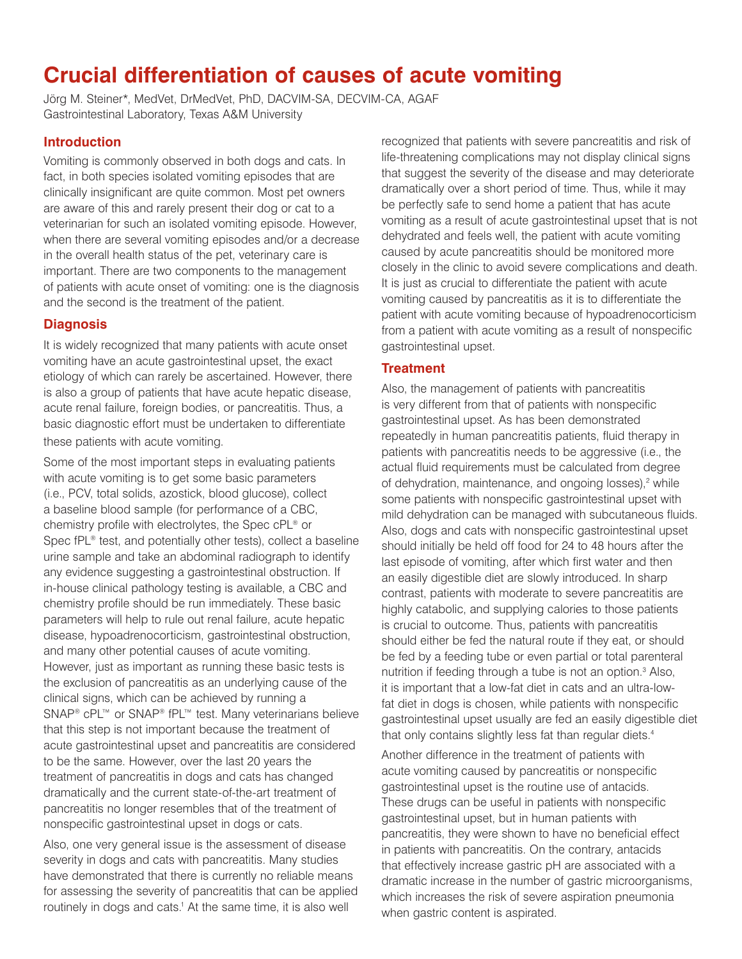# **Crucial differentiation of causes of acute vomiting**

Jörg M. Steiner\*, MedVet, DrMedVet, PhD, DACVIM-SA, DECVIM-CA, AGAF Gastrointestinal Laboratory, Texas A&M University

#### **Introduction**

Vomiting is commonly observed in both dogs and cats. In fact, in both species isolated vomiting episodes that are clinically insignificant are quite common. Most pet owners are aware of this and rarely present their dog or cat to a veterinarian for such an isolated vomiting episode. However, when there are several vomiting episodes and/or a decrease in the overall health status of the pet, veterinary care is important. There are two components to the management of patients with acute onset of vomiting: one is the diagnosis and the second is the treatment of the patient.

# **Diagnosis**

It is widely recognized that many patients with acute onset vomiting have an acute gastrointestinal upset, the exact etiology of which can rarely be ascertained. However, there is also a group of patients that have acute hepatic disease, acute renal failure, foreign bodies, or pancreatitis. Thus, a basic diagnostic effort must be undertaken to differentiate these patients with acute vomiting.

Some of the most important steps in evaluating patients with acute vomiting is to get some basic parameters (i.e., PCV, total solids, azostick, blood glucose), collect a baseline blood sample (for performance of a CBC, chemistry profile with electrolytes, the Spec cPL® or Spec fPL<sup>®</sup> test, and potentially other tests), collect a baseline urine sample and take an abdominal radiograph to identify any evidence suggesting a gastrointestinal obstruction. If in-house clinical pathology testing is available, a CBC and chemistry profile should be run immediately. These basic parameters will help to rule out renal failure, acute hepatic disease, hypoadrenocorticism, gastrointestinal obstruction, and many other potential causes of acute vomiting. However, just as important as running these basic tests is the exclusion of pancreatitis as an underlying cause of the clinical signs, which can be achieved by running a SNAP<sup>®</sup> cPL™ or SNAP<sup>®</sup> fPL™ test. Many veterinarians believe that this step is not important because the treatment of acute gastrointestinal upset and pancreatitis are considered to be the same. However, over the last 20 years the treatment of pancreatitis in dogs and cats has changed dramatically and the current state-of-the-art treatment of pancreatitis no longer resembles that of the treatment of nonspecific gastrointestinal upset in dogs or cats.

Also, one very general issue is the assessment of disease severity in dogs and cats with pancreatitis. Many studies have demonstrated that there is currently no reliable means for assessing the severity of pancreatitis that can be applied routinely in dogs and cats.<sup>1</sup> At the same time, it is also well

recognized that patients with severe pancreatitis and risk of life-threatening complications may not display clinical signs that suggest the severity of the disease and may deteriorate dramatically over a short period of time. Thus, while it may be perfectly safe to send home a patient that has acute vomiting as a result of acute gastrointestinal upset that is not dehydrated and feels well, the patient with acute vomiting caused by acute pancreatitis should be monitored more closely in the clinic to avoid severe complications and death. It is just as crucial to differentiate the patient with acute vomiting caused by pancreatitis as it is to differentiate the patient with acute vomiting because of hypoadrenocorticism from a patient with acute vomiting as a result of nonspecific gastrointestinal upset.

### **Treatment**

Also, the management of patients with pancreatitis is very different from that of patients with nonspecific gastrointestinal upset. As has been demonstrated repeatedly in human pancreatitis patients, fluid therapy in patients with pancreatitis needs to be aggressive (i.e., the actual fluid requirements must be calculated from degree of dehydration, maintenance, and ongoing losses),<sup>2</sup> while some patients with nonspecific gastrointestinal upset with mild dehydration can be managed with subcutaneous fluids. Also, dogs and cats with nonspecific gastrointestinal upset should initially be held off food for 24 to 48 hours after the last episode of vomiting, after which first water and then an easily digestible diet are slowly introduced. In sharp contrast, patients with moderate to severe pancreatitis are highly catabolic, and supplying calories to those patients is crucial to outcome. Thus, patients with pancreatitis should either be fed the natural route if they eat, or should be fed by a feeding tube or even partial or total parenteral nutrition if feeding through a tube is not an option.<sup>3</sup> Also, it is important that a low-fat diet in cats and an ultra-lowfat diet in dogs is chosen, while patients with nonspecific gastrointestinal upset usually are fed an easily digestible diet that only contains slightly less fat than regular diets.<sup>4</sup>

Another difference in the treatment of patients with acute vomiting caused by pancreatitis or nonspecific gastrointestinal upset is the routine use of antacids. These drugs can be useful in patients with nonspecific gastrointestinal upset, but in human patients with pancreatitis, they were shown to have no beneficial effect in patients with pancreatitis. On the contrary, antacids that effectively increase gastric pH are associated with a dramatic increase in the number of gastric microorganisms, which increases the risk of severe aspiration pneumonia when gastric content is aspirated.